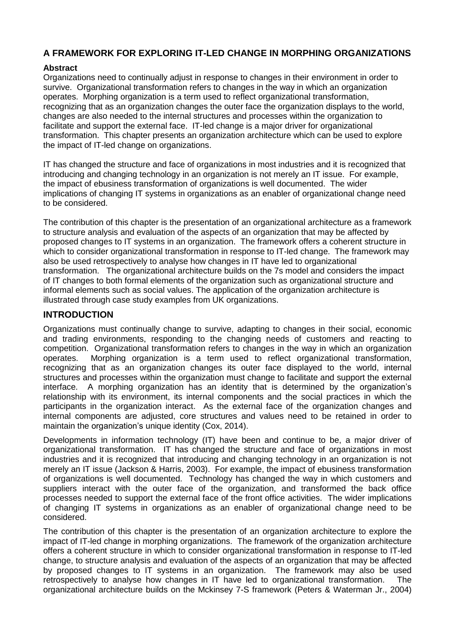## **A FRAMEWORK FOR EXPLORING IT-LED CHANGE IN MORPHING ORGANIZATIONS**

#### **Abstract**

Organizations need to continually adjust in response to changes in their environment in order to survive. Organizational transformation refers to changes in the way in which an organization operates. Morphing organization is a term used to reflect organizational transformation, recognizing that as an organization changes the outer face the organization displays to the world, changes are also needed to the internal structures and processes within the organization to facilitate and support the external face. IT-led change is a major driver for organizational transformation. This chapter presents an organization architecture which can be used to explore the impact of IT-led change on organizations.

IT has changed the structure and face of organizations in most industries and it is recognized that introducing and changing technology in an organization is not merely an IT issue. For example, the impact of ebusiness transformation of organizations is well documented. The wider implications of changing IT systems in organizations as an enabler of organizational change need to be considered.

The contribution of this chapter is the presentation of an organizational architecture as a framework to structure analysis and evaluation of the aspects of an organization that may be affected by proposed changes to IT systems in an organization. The framework offers a coherent structure in which to consider organizational transformation in response to IT-led change. The framework may also be used retrospectively to analyse how changes in IT have led to organizational transformation. The organizational architecture builds on the 7s model and considers the impact of IT changes to both formal elements of the organization such as organizational structure and informal elements such as social values. The application of the organization architecture is illustrated through case study examples from UK organizations.

### **INTRODUCTION**

Organizations must continually change to survive, adapting to changes in their social, economic and trading environments, responding to the changing needs of customers and reacting to competition. Organizational transformation refers to changes in the way in which an organization operates. Morphing organization is a term used to reflect organizational transformation, recognizing that as an organization changes its outer face displayed to the world, internal structures and processes within the organization must change to facilitate and support the external interface. A morphing organization has an identity that is determined by the organization's relationship with its environment, its internal components and the social practices in which the participants in the organization interact. As the external face of the organization changes and internal components are adjusted, core structures and values need to be retained in order to maintain the organization's unique identity (Cox, 2014).

Developments in information technology (IT) have been and continue to be, a major driver of organizational transformation. IT has changed the structure and face of organizations in most industries and it is recognized that introducing and changing technology in an organization is not merely an IT issue (Jackson & Harris, 2003). For example, the impact of ebusiness transformation of organizations is well documented. Technology has changed the way in which customers and suppliers interact with the outer face of the organization, and transformed the back office processes needed to support the external face of the front office activities. The wider implications of changing IT systems in organizations as an enabler of organizational change need to be considered.

The contribution of this chapter is the presentation of an organization architecture to explore the impact of IT-led change in morphing organizations. The framework of the organization architecture offers a coherent structure in which to consider organizational transformation in response to IT-led change, to structure analysis and evaluation of the aspects of an organization that may be affected by proposed changes to IT systems in an organization. The framework may also be used retrospectively to analyse how changes in IT have led to organizational transformation. The organizational architecture builds on the Mckinsey 7-S framework (Peters & Waterman Jr., 2004)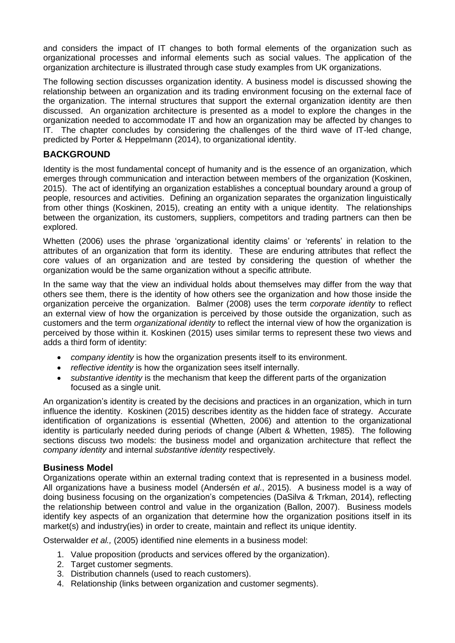and considers the impact of IT changes to both formal elements of the organization such as organizational processes and informal elements such as social values. The application of the organization architecture is illustrated through case study examples from UK organizations.

The following section discusses organization identity. A business model is discussed showing the relationship between an organization and its trading environment focusing on the external face of the organization. The internal structures that support the external organization identity are then discussed. An organization architecture is presented as a model to explore the changes in the organization needed to accommodate IT and how an organization may be affected by changes to IT. The chapter concludes by considering the challenges of the third wave of IT-led change, predicted by Porter & Heppelmann (2014), to organizational identity.

# **BACKGROUND**

Identity is the most fundamental concept of humanity and is the essence of an organization, which emerges through communication and interaction between members of the organization (Koskinen, 2015). The act of identifying an organization establishes a conceptual boundary around a group of people, resources and activities. Defining an organization separates the organization linguistically from other things (Koskinen, 2015), creating an entity with a unique identity. The relationships between the organization, its customers, suppliers, competitors and trading partners can then be explored.

Whetten (2006) uses the phrase 'organizational identity claims' or 'referents' in relation to the attributes of an organization that form its identity. These are enduring attributes that reflect the core values of an organization and are tested by considering the question of whether the organization would be the same organization without a specific attribute.

In the same way that the view an individual holds about themselves may differ from the way that others see them, there is the identity of how others see the organization and how those inside the organization perceive the organization. Balmer (2008) uses the term *corporate identity* to reflect an external view of how the organization is perceived by those outside the organization, such as customers and the term *organizational identity* to reflect the internal view of how the organization is perceived by those within it. Koskinen (2015) uses similar terms to represent these two views and adds a third form of identity:

- *company identity* is how the organization presents itself to its environment.
- *reflective identity* is how the organization sees itself internally.
- *substantive identity* is the mechanism that keep the different parts of the organization focused as a single unit.

An organization's identity is created by the decisions and practices in an organization, which in turn influence the identity. Koskinen (2015) describes identity as the hidden face of strategy. Accurate identification of organizations is essential (Whetten, 2006) and attention to the organizational identity is particularly needed during periods of change (Albert & Whetten, 1985). The following sections discuss two models: the business model and organization architecture that reflect the *company identity* and internal *substantive identity* respectively.

### **Business Model**

Organizations operate within an external trading context that is represented in a business model. All organizations have a business model (Andersén *et al*., 2015). A business model is a way of doing business focusing on the organization's competencies (DaSilva & Trkman, 2014), reflecting the relationship between control and value in the organization (Ballon, 2007). Business models identify key aspects of an organization that determine how the organization positions itself in its market(s) and industry(ies) in order to create, maintain and reflect its unique identity.

Osterwalder *et al.,* (2005) identified nine elements in a business model:

- 1. Value proposition (products and services offered by the organization).
- 2. Target customer segments.
- 3. Distribution channels (used to reach customers).
- 4. Relationship (links between organization and customer segments).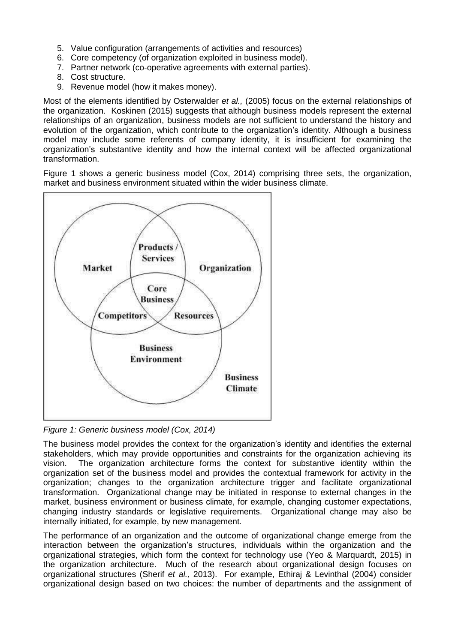- 5. Value configuration (arrangements of activities and resources)
- 6. Core competency (of organization exploited in business model).
- 7. Partner network (co-operative agreements with external parties).
- 8. Cost structure.
- 9. Revenue model (how it makes money).

Most of the elements identified by Osterwalder *et al.,* (2005) focus on the external relationships of the organization. Koskinen (2015) suggests that although business models represent the external relationships of an organization, business models are not sufficient to understand the history and evolution of the organization, which contribute to the organization's identity. Although a business model may include some referents of company identity, it is insufficient for examining the organization's substantive identity and how the internal context will be affected organizational transformation.

Figure 1 shows a generic business model (Cox, 2014) comprising three sets, the organization, market and business environment situated within the wider business climate.



*Figure 1: Generic business model (Cox, 2014)*

The business model provides the context for the organization's identity and identifies the external stakeholders, which may provide opportunities and constraints for the organization achieving its vision. The organization architecture forms the context for substantive identity within the organization set of the business model and provides the contextual framework for activity in the organization; changes to the organization architecture trigger and facilitate organizational transformation. Organizational change may be initiated in response to external changes in the market, business environment or business climate, for example, changing customer expectations, changing industry standards or legislative requirements. Organizational change may also be internally initiated, for example, by new management.

The performance of an organization and the outcome of organizational change emerge from the interaction between the organization's structures, individuals within the organization and the organizational strategies, which form the context for technology use (Yeo & Marquardt, 2015) in the organization architecture. Much of the research about organizational design focuses on organizational structures (Sherif *et al.,* 2013). For example, Ethiraj & Levinthal (2004) consider organizational design based on two choices: the number of departments and the assignment of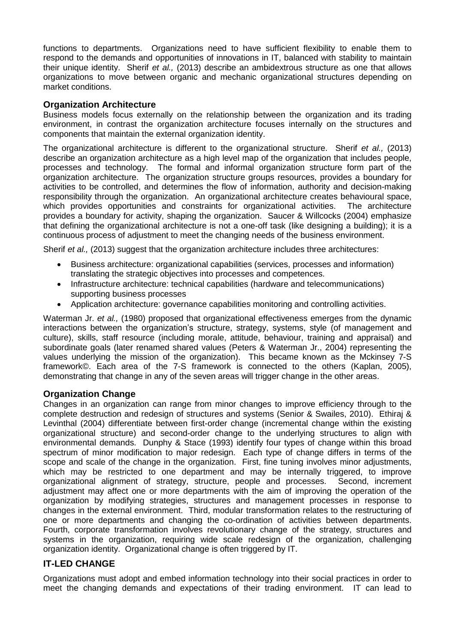functions to departments. Organizations need to have sufficient flexibility to enable them to respond to the demands and opportunities of innovations in IT, balanced with stability to maintain their unique identity. Sherif *et al.,* (2013) describe an ambidextrous structure as one that allows organizations to move between organic and mechanic organizational structures depending on market conditions.

#### **Organization Architecture**

Business models focus externally on the relationship between the organization and its trading environment, in contrast the organization architecture focuses internally on the structures and components that maintain the external organization identity.

The organizational architecture is different to the organizational structure. Sherif *et al.,* (2013) describe an organization architecture as a high level map of the organization that includes people, processes and technology. The formal and informal organization structure form part of the organization architecture. The organization structure groups resources, provides a boundary for activities to be controlled, and determines the flow of information, authority and decision-making responsibility through the organization. An organizational architecture creates behavioural space, which provides opportunities and constraints for organizational activities. The architecture provides a boundary for activity, shaping the organization. Saucer & Willcocks (2004) emphasize that defining the organizational architecture is not a one-off task (like designing a building); it is a continuous process of adjustment to meet the changing needs of the business environment.

Sherif *et al.,* (2013) suggest that the organization architecture includes three architectures:

- Business architecture: organizational capabilities (services, processes and information) translating the strategic objectives into processes and competences.
- Infrastructure architecture: technical capabilities (hardware and telecommunications) supporting business processes
- Application architecture: governance capabilities monitoring and controlling activities.

Waterman Jr. *et al.,* (1980) proposed that organizational effectiveness emerges from the dynamic interactions between the organization's structure, strategy, systems, style (of management and culture), skills, staff resource (including morale, attitude, behaviour, training and appraisal) and subordinate goals (later renamed shared values (Peters & Waterman Jr., 2004) representing the values underlying the mission of the organization). This became known as the Mckinsey 7-S framework©. Each area of the 7-S framework is connected to the others (Kaplan, 2005), demonstrating that change in any of the seven areas will trigger change in the other areas.

### **Organization Change**

Changes in an organization can range from minor changes to improve efficiency through to the complete destruction and redesign of structures and systems (Senior & Swailes, 2010). Ethiraj & Levinthal (2004) differentiate between first-order change (incremental change within the existing organizational structure) and second-order change to the underlying structures to align with environmental demands. Dunphy & Stace (1993) identify four types of change within this broad spectrum of minor modification to major redesign. Each type of change differs in terms of the scope and scale of the change in the organization. First, fine tuning involves minor adjustments, which may be restricted to one department and may be internally triggered, to improve organizational alignment of strategy, structure, people and processes. Second, increment adjustment may affect one or more departments with the aim of improving the operation of the organization by modifying strategies, structures and management processes in response to changes in the external environment. Third, modular transformation relates to the restructuring of one or more departments and changing the co-ordination of activities between departments. Fourth, corporate transformation involves revolutionary change of the strategy, structures and systems in the organization, requiring wide scale redesign of the organization, challenging organization identity. Organizational change is often triggered by IT.

### **IT-LED CHANGE**

Organizations must adopt and embed information technology into their social practices in order to meet the changing demands and expectations of their trading environment. IT can lead to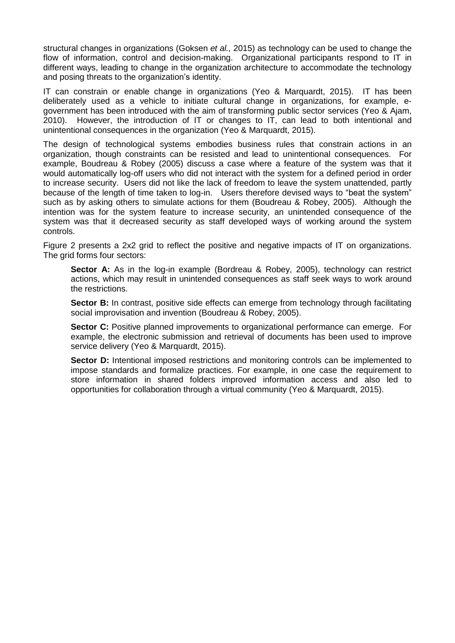structural changes in organizations (Goksen *et al.,* 2015) as technology can be used to change the flow of information, control and decision-making. Organizational participants respond to IT in different ways, leading to change in the organization architecture to accommodate the technology and posing threats to the organization's identity.

IT can constrain or enable change in organizations (Yeo & Marquardt, 2015). IT has been deliberately used as a vehicle to initiate cultural change in organizations, for example, egovernment has been introduced with the aim of transforming public sector services (Yeo & Ajam, 2010). However, the introduction of IT or changes to IT, can lead to both intentional and unintentional consequences in the organization (Yeo & Marquardt, 2015).

The design of technological systems embodies business rules that constrain actions in an organization, though constraints can be resisted and lead to unintentional consequences. For example, Boudreau & Robey (2005) discuss a case where a feature of the system was that it would automatically log-off users who did not interact with the system for a defined period in order to increase security. Users did not like the lack of freedom to leave the system unattended, partly because of the length of time taken to log-in. Users therefore devised ways to "beat the system" such as by asking others to simulate actions for them (Boudreau & Robey, 2005). Although the intention was for the system feature to increase security, an unintended consequence of the system was that it decreased security as staff developed ways of working around the system controls.

Figure 2 presents a 2x2 grid to reflect the positive and negative impacts of IT on organizations. The grid forms four sectors:

**Sector A:** As in the log-in example (Bordreau & Robey, 2005), technology can restrict actions, which may result in unintended consequences as staff seek ways to work around the restrictions.

**Sector B:** In contrast, positive side effects can emerge from technology through facilitating social improvisation and invention (Boudreau & Robey, 2005).

**Sector C:** Positive planned improvements to organizational performance can emerge. For example, the electronic submission and retrieval of documents has been used to improve service delivery (Yeo & Marquardt, 2015).

**Sector D:** Intentional imposed restrictions and monitoring controls can be implemented to impose standards and formalize practices. For example, in one case the requirement to store information in shared folders improved information access and also led to opportunities for collaboration through a virtual community (Yeo & Marquardt, 2015).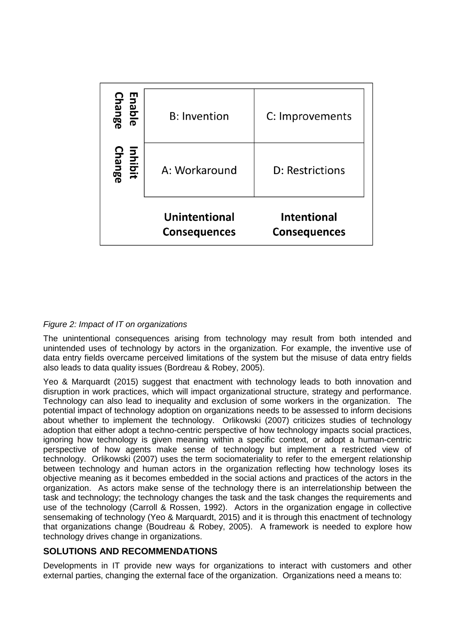| ш<br>inable<br>hange. | <b>B</b> : Invention                 | C: Improvements                           |  |
|-----------------------|--------------------------------------|-------------------------------------------|--|
| Inhibit<br>Change     | A: Workaround                        | D: Restrictions                           |  |
|                       | Unintentional<br><b>Consequences</b> | <b>Intentional</b><br><b>Consequences</b> |  |

#### *Figure 2: Impact of IT on organizations*

The unintentional consequences arising from technology may result from both intended and unintended uses of technology by actors in the organization. For example, the inventive use of data entry fields overcame perceived limitations of the system but the misuse of data entry fields also leads to data quality issues (Bordreau & Robey, 2005).

Yeo & Marquardt (2015) suggest that enactment with technology leads to both innovation and disruption in work practices, which will impact organizational structure, strategy and performance. Technology can also lead to inequality and exclusion of some workers in the organization. The potential impact of technology adoption on organizations needs to be assessed to inform decisions about whether to implement the technology. Orlikowski (2007) criticizes studies of technology adoption that either adopt a techno-centric perspective of how technology impacts social practices, ignoring how technology is given meaning within a specific context, or adopt a human-centric perspective of how agents make sense of technology but implement a restricted view of technology. Orlikowski (2007) uses the term sociomateriality to refer to the emergent relationship between technology and human actors in the organization reflecting how technology loses its objective meaning as it becomes embedded in the social actions and practices of the actors in the organization. As actors make sense of the technology there is an interrelationship between the task and technology; the technology changes the task and the task changes the requirements and use of the technology (Carroll & Rossen, 1992). Actors in the organization engage in collective sensemaking of technology (Yeo & Marquardt, 2015) and it is through this enactment of technology that organizations change (Boudreau & Robey, 2005). A framework is needed to explore how technology drives change in organizations.

### **SOLUTIONS AND RECOMMENDATIONS**

Developments in IT provide new ways for organizations to interact with customers and other external parties, changing the external face of the organization. Organizations need a means to: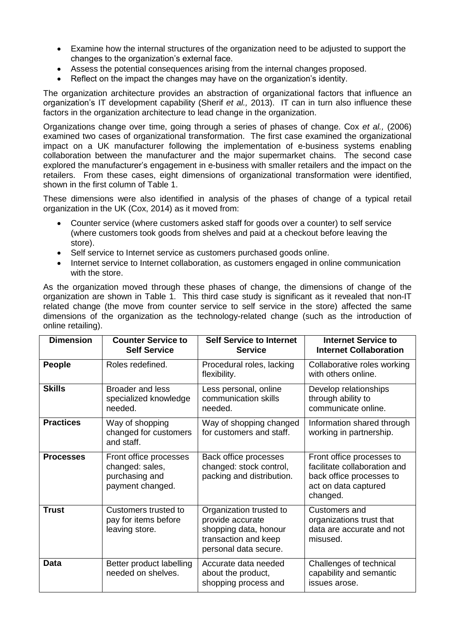- Examine how the internal structures of the organization need to be adjusted to support the changes to the organization's external face.
- Assess the potential consequences arising from the internal changes proposed.
- Reflect on the impact the changes may have on the organization's identity.

The organization architecture provides an abstraction of organizational factors that influence an organization's IT development capability (Sherif *et al.,* 2013). IT can in turn also influence these factors in the organization architecture to lead change in the organization.

Organizations change over time, going through a series of phases of change. Cox *et al.,* (2006) examined two cases of organizational transformation. The first case examined the organizational impact on a UK manufacturer following the implementation of e-business systems enabling collaboration between the manufacturer and the major supermarket chains. The second case explored the manufacturer's engagement in e-business with smaller retailers and the impact on the retailers. From these cases, eight dimensions of organizational transformation were identified, shown in the first column of Table 1.

These dimensions were also identified in analysis of the phases of change of a typical retail organization in the UK (Cox, 2014) as it moved from:

- Counter service (where customers asked staff for goods over a counter) to self service (where customers took goods from shelves and paid at a checkout before leaving the store).
- Self service to Internet service as customers purchased goods online.
- Internet service to Internet collaboration, as customers engaged in online communication with the store.

As the organization moved through these phases of change, the dimensions of change of the organization are shown in Table 1. This third case study is significant as it revealed that non-IT related change (the move from counter service to self service in the store) affected the same dimensions of the organization as the technology-related change (such as the introduction of online retailing).

| <b>Dimension</b> | <b>Counter Service to</b><br><b>Self Service</b>                                | <b>Self Service to Internet</b><br><b>Service</b>                                                                     | <b>Internet Service to</b><br><b>Internet Collaboration</b>                                                               |
|------------------|---------------------------------------------------------------------------------|-----------------------------------------------------------------------------------------------------------------------|---------------------------------------------------------------------------------------------------------------------------|
| <b>People</b>    | Roles redefined.                                                                | Procedural roles, lacking<br>flexibility.                                                                             | Collaborative roles working<br>with others online.                                                                        |
| <b>Skills</b>    | <b>Broader and less</b><br>specialized knowledge<br>needed.                     | Less personal, online<br>communication skills<br>needed.                                                              | Develop relationships<br>through ability to<br>communicate online.                                                        |
| <b>Practices</b> | Way of shopping<br>changed for customers<br>and staff.                          | Way of shopping changed<br>for customers and staff.                                                                   | Information shared through<br>working in partnership.                                                                     |
| <b>Processes</b> | Front office processes<br>changed: sales,<br>purchasing and<br>payment changed. | Back office processes<br>changed: stock control,<br>packing and distribution.                                         | Front office processes to<br>facilitate collaboration and<br>back office processes to<br>act on data captured<br>changed. |
| <b>Trust</b>     | Customers trusted to<br>pay for items before<br>leaving store.                  | Organization trusted to<br>provide accurate<br>shopping data, honour<br>transaction and keep<br>personal data secure. | <b>Customers and</b><br>organizations trust that<br>data are accurate and not<br>misused.                                 |
| Data             | Better product labelling<br>needed on shelves.                                  | Accurate data needed<br>about the product,<br>shopping process and                                                    | Challenges of technical<br>capability and semantic<br>issues arose.                                                       |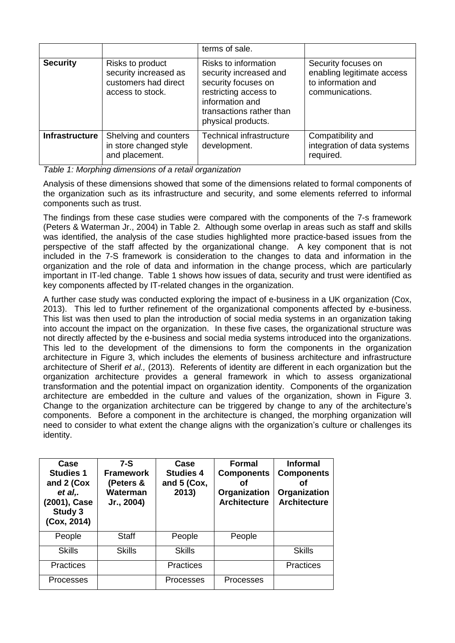|                       |                                                                                       | terms of sale.                                                                                                                                                      |                                                                                            |
|-----------------------|---------------------------------------------------------------------------------------|---------------------------------------------------------------------------------------------------------------------------------------------------------------------|--------------------------------------------------------------------------------------------|
| <b>Security</b>       | Risks to product<br>security increased as<br>customers had direct<br>access to stock. | Risks to information<br>security increased and<br>security focuses on<br>restricting access to<br>information and<br>transactions rather than<br>physical products. | Security focuses on<br>enabling legitimate access<br>to information and<br>communications. |
| <b>Infrastructure</b> | Shelving and counters<br>in store changed style<br>and placement.                     | <b>Technical infrastructure</b><br>development.                                                                                                                     | Compatibility and<br>integration of data systems<br>required.                              |

*Table 1: Morphing dimensions of a retail organization*

Analysis of these dimensions showed that some of the dimensions related to formal components of the organization such as its infrastructure and security, and some elements referred to informal components such as trust.

The findings from these case studies were compared with the components of the 7-s framework (Peters & Waterman Jr., 2004) in Table 2. Although some overlap in areas such as staff and skills was identified, the analysis of the case studies highlighted more practice-based issues from the perspective of the staff affected by the organizational change. A key component that is not included in the 7-S framework is consideration to the changes to data and information in the organization and the role of data and information in the change process, which are particularly important in IT-led change. Table 1 shows how issues of data, security and trust were identified as key components affected by IT-related changes in the organization.

A further case study was conducted exploring the impact of e-business in a UK organization (Cox, 2013). This led to further refinement of the organizational components affected by e-business. This list was then used to plan the introduction of social media systems in an organization taking into account the impact on the organization. In these five cases, the organizational structure was not directly affected by the e-business and social media systems introduced into the organizations. This led to the development of the dimensions to form the components in the organization architecture in Figure 3, which includes the elements of business architecture and infrastructure architecture of Sherif *et al.,* (2013). Referents of identity are different in each organization but the organization architecture provides a general framework in which to assess organizational transformation and the potential impact on organization identity. Components of the organization architecture are embedded in the culture and values of the organization, shown in Figure 3. Change to the organization architecture can be triggered by change to any of the architecture's components. Before a component in the architecture is changed, the morphing organization will need to consider to what extent the change aligns with the organization's culture or challenges its identity.

| Case<br><b>Studies 1</b><br>and 2 (Cox<br>et al,.<br>(2001), Case<br>Study 3<br>(Cox, 2014) | $7-S$<br><b>Framework</b><br>(Peters &<br>Waterman<br>Jr., 2004) | Case<br><b>Studies 4</b><br>and 5 (Cox,<br>2013) | <b>Formal</b><br><b>Components</b><br>Οt<br>Organization<br><b>Architecture</b> | <b>Informal</b><br><b>Components</b><br>Οt<br>Organization<br><b>Architecture</b> |
|---------------------------------------------------------------------------------------------|------------------------------------------------------------------|--------------------------------------------------|---------------------------------------------------------------------------------|-----------------------------------------------------------------------------------|
| People                                                                                      | <b>Staff</b>                                                     | People                                           | People                                                                          |                                                                                   |
| Skills                                                                                      | <b>Skills</b>                                                    | <b>Skills</b>                                    |                                                                                 | <b>Skills</b>                                                                     |
| <b>Practices</b>                                                                            |                                                                  | <b>Practices</b>                                 |                                                                                 | <b>Practices</b>                                                                  |
| Processes                                                                                   |                                                                  | Processes                                        | Processes                                                                       |                                                                                   |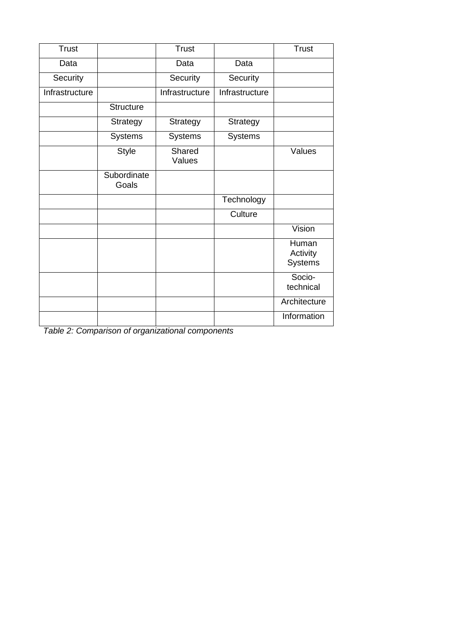| <b>Trust</b>   |                      | <b>Trust</b>     |                | <b>Trust</b>                        |
|----------------|----------------------|------------------|----------------|-------------------------------------|
| Data           |                      | Data             | Data           |                                     |
| Security       |                      | Security         | Security       |                                     |
| Infrastructure |                      | Infrastructure   | Infrastructure |                                     |
|                | <b>Structure</b>     |                  |                |                                     |
|                | Strategy             | Strategy         | Strategy       |                                     |
|                | Systems              | <b>Systems</b>   | <b>Systems</b> |                                     |
|                | <b>Style</b>         | Shared<br>Values |                | Values                              |
|                | Subordinate<br>Goals |                  |                |                                     |
|                |                      |                  | Technology     |                                     |
|                |                      |                  | Culture        |                                     |
|                |                      |                  |                | Vision                              |
|                |                      |                  |                | Human<br>Activity<br><b>Systems</b> |
|                |                      |                  |                | Socio-<br>technical                 |
|                |                      |                  |                | Architecture                        |
|                |                      |                  |                | Information                         |

*Table 2: Comparison of organizational components*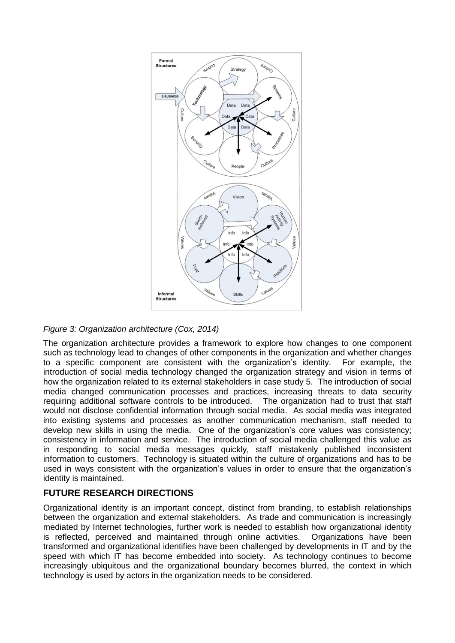

### *Figure 3: Organization architecture (Cox, 2014)*

The organization architecture provides a framework to explore how changes to one component such as technology lead to changes of other components in the organization and whether changes to a specific component are consistent with the organization's identity. For example, the introduction of social media technology changed the organization strategy and vision in terms of how the organization related to its external stakeholders in case study 5. The introduction of social media changed communication processes and practices, increasing threats to data security requiring additional software controls to be introduced. The organization had to trust that staff would not disclose confidential information through social media. As social media was integrated into existing systems and processes as another communication mechanism, staff needed to develop new skills in using the media. One of the organization's core values was consistency; consistency in information and service. The introduction of social media challenged this value as in responding to social media messages quickly, staff mistakenly published inconsistent information to customers. Technology is situated within the culture of organizations and has to be used in ways consistent with the organization's values in order to ensure that the organization's identity is maintained.

# **FUTURE RESEARCH DIRECTIONS**

Organizational identity is an important concept, distinct from branding, to establish relationships between the organization and external stakeholders. As trade and communication is increasingly mediated by Internet technologies, further work is needed to establish how organizational identity is reflected, perceived and maintained through online activities. Organizations have been transformed and organizational identifies have been challenged by developments in IT and by the speed with which IT has become embedded into society. As technology continues to become increasingly ubiquitous and the organizational boundary becomes blurred, the context in which technology is used by actors in the organization needs to be considered.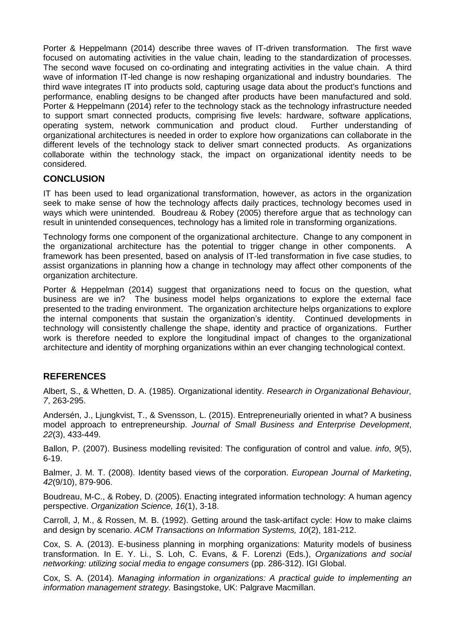Porter & Heppelmann (2014) describe three waves of IT-driven transformation. The first wave focused on automating activities in the value chain, leading to the standardization of processes. The second wave focused on co-ordinating and integrating activities in the value chain. A third wave of information IT-led change is now reshaping organizational and industry boundaries. The third wave integrates IT into products sold, capturing usage data about the product's functions and performance, enabling designs to be changed after products have been manufactured and sold. Porter & Heppelmann (2014) refer to the technology stack as the technology infrastructure needed to support smart connected products, comprising five levels: hardware, software applications, operating system, network communication and product cloud. Further understanding of organizational architectures is needed in order to explore how organizations can collaborate in the different levels of the technology stack to deliver smart connected products. As organizations collaborate within the technology stack, the impact on organizational identity needs to be considered.

## **CONCLUSION**

IT has been used to lead organizational transformation, however, as actors in the organization seek to make sense of how the technology affects daily practices, technology becomes used in ways which were unintended. Boudreau & Robey (2005) therefore argue that as technology can result in unintended consequences, technology has a limited role in transforming organizations.

Technology forms one component of the organizational architecture. Change to any component in the organizational architecture has the potential to trigger change in other components. A framework has been presented, based on analysis of IT-led transformation in five case studies, to assist organizations in planning how a change in technology may affect other components of the organization architecture.

Porter & Heppelman (2014) suggest that organizations need to focus on the question, what business are we in? The business model helps organizations to explore the external face presented to the trading environment. The organization architecture helps organizations to explore the internal components that sustain the organization's identity. Continued developments in technology will consistently challenge the shape, identity and practice of organizations. Further work is therefore needed to explore the longitudinal impact of changes to the organizational architecture and identity of morphing organizations within an ever changing technological context.

### **REFERENCES**

Albert, S., & Whetten, D. A. (1985). Organizational identity. *Research in Organizational Behaviour, 7*, 263-295.

Andersén, J., Ljungkvist, T., & Svensson, L. (2015). Entrepreneurially oriented in what? A business model approach to entrepreneurship. *Journal of Small Business and Enterprise Development*, *22*(3), 433-449.

Ballon, P. (2007). Business modelling revisited: The configuration of control and value. *info*, *9*(5), 6-19.

Balmer, J. M. T. (2008). Identity based views of the corporation. *European Journal of Marketing*, *42*(9/10), 879-906.

Boudreau, M-C., & Robey, D. (2005). Enacting integrated information technology: A human agency perspective. *Organization Science, 16*(1), 3-18.

Carroll, J, M., & Rossen, M. B. (1992). Getting around the task-artifact cycle: How to make claims and design by scenario. *ACM Transactions on Information Systems, 10*(2), 181-212.

Cox, S. A. (2013). E-business planning in morphing organizations: Maturity models of business transformation. In E. Y. Li., S. Loh, C. Evans, & F. Lorenzi (Eds.), *Organizations and social networking: utilizing social media to engage consumers* (pp. 286-312). IGI Global.

Cox, S. A. (2014). *Managing information in organizations: A practical guide to implementing an information management strategy.* Basingstoke, UK: Palgrave Macmillan.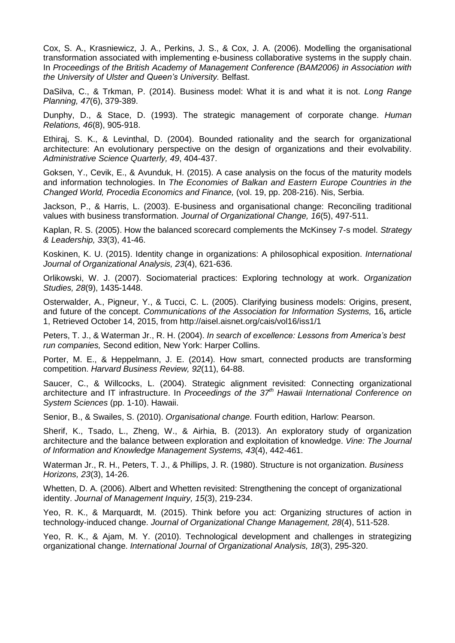Cox, S. A., Krasniewicz, J. A., Perkins, J. S., & Cox, J. A. (2006). Modelling the organisational transformation associated with implementing e-business collaborative systems in the supply chain. In *Proceedings of the British Academy of Management Conference (BAM2006) in Association with the University of Ulster and Queen's University.* Belfast.

DaSilva, C., & Trkman, P. (2014). Business model: What it is and what it is not. *Long Range Planning, 47*(6), 379-389.

Dunphy, D., & Stace, D. (1993). The strategic management of corporate change. *Human Relations, 46*(8), 905-918.

Ethiraj, S. K., & Levinthal, D. (2004). Bounded rationality and the search for organizational architecture: An evolutionary perspective on the design of organizations and their evolvability. *Administrative Science Quarterly, 49*, 404-437.

Goksen, Y., Cevik, E., & Avunduk, H. (2015). A case analysis on the focus of the maturity models and information technologies. In *The Economies of Balkan and Eastern Europe Countries in the Changed World, Procedia Economics and Finance,* (vol. 19, pp. 208-216). Nis, Serbia.

Jackson, P., & Harris, L. (2003). E-business and organisational change: Reconciling traditional values with business transformation. *Journal of Organizational Change, 16*(5), 497-511.

Kaplan, R. S. (2005). How the balanced scorecard complements the McKinsey 7-s model. *Strategy & Leadership, 33*(3), 41-46.

Koskinen, K. U. (2015). Identity change in organizations: A philosophical exposition. *International Journal of Organizational Analysis, 23*(4), 621-636.

Orlikowski, W. J. (2007). Sociomaterial practices: Exploring technology at work. *Organization Studies, 28*(9), 1435-1448.

Osterwalder, A., Pigneur, Y., & Tucci, C. L. (2005). Clarifying business models: Origins, present, and future of the concept. *Communications of the Association for Information Systems,* 16**,** article 1, Retrieved October 14, 2015, from http://aisel.aisnet.org/cais/vol16/iss1/1

Peters, T. J., & Waterman Jr., R. H. (2004). *In search of excellence: Lessons from America's best run companies,* Second edition, New York: Harper Collins.

Porter, M. E., & Heppelmann, J. E. (2014). How smart, connected products are transforming competition. *Harvard Business Review, 92*(11), 64-88.

Saucer, C., & Willcocks, L. (2004). Strategic alignment revisited: Connecting organizational architecture and IT infrastructure. In *Proceedings of the 37th Hawaii International Conference on System Sciences* (pp. 1-10). Hawaii.

Senior, B., & Swailes, S. (2010). *Organisational change.* Fourth edition, Harlow: Pearson.

Sherif, K., Tsado, L., Zheng, W., & Airhia, B. (2013). An exploratory study of organization architecture and the balance between exploration and exploitation of knowledge. *Vine: The Journal of Information and Knowledge Management Systems, 43*(4), 442-461.

Waterman Jr., R. H., Peters, T. J., & Phillips, J. R. (1980). Structure is not organization. *Business Horizons, 23*(3), 14-26.

Whetten, D. A. (2006). Albert and Whetten revisited: Strengthening the concept of organizational identity. *Journal of Management Inquiry, 15*(3), 219-234.

Yeo, R. K., & Marquardt, M. (2015). Think before you act: Organizing structures of action in technology-induced change. *Journal of Organizational Change Management, 28*(4), 511-528.

Yeo, R. K., & Ajam, M. Y. (2010). Technological development and challenges in strategizing organizational change. *International Journal of Organizational Analysis, 18*(3), 295-320.